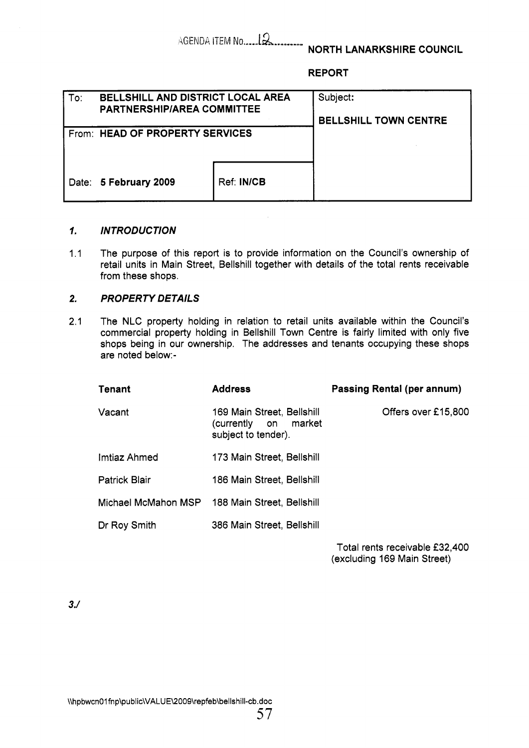# &FNDA ITEM No .,... [& ......... **NORTH LANARKSHIRE COUNCIL**

**REPORT** 

| To: | <b>BELLSHILL AND DISTRICT LOCAL AREA</b><br><b>PARTNERSHIP/AREA COMMITTEE</b> |                   | Subject:                     |
|-----|-------------------------------------------------------------------------------|-------------------|------------------------------|
|     |                                                                               |                   | <b>BELLSHILL TOWN CENTRE</b> |
|     | From: HEAD OF PROPERTY SERVICES                                               |                   |                              |
|     |                                                                               |                   |                              |
|     | Date: 5 February 2009                                                         | Ref: <b>IN/CB</b> |                              |

#### *1. INTRODUCTION*

**1 .I** The purpose of this report is to provide information on the Council's ownership of retail units in Main Street, Bellshill together with details of the total rents receivable from these shops.

# *2. PROPERTY DETAILS*

**2.1** The NLC property holding in relation to retail units available within the Council's commercial property holding in Bellshill Town Centre is fairly limited with only five shops being in our ownership. The addresses and tenants occupying these shops are noted below:-

| Tenant               | <b>Address</b>                                                            | <b>Passing Rental (per annum)</b> |
|----------------------|---------------------------------------------------------------------------|-----------------------------------|
| Vacant               | 169 Main Street, Bellshill<br>(currently on market<br>subject to tender). | Offers over £15,800               |
| Imtiaz Ahmed         | 173 Main Street, Bellshill                                                |                                   |
| <b>Patrick Blair</b> | 186 Main Street, Bellshill                                                |                                   |
| Michael McMahon MSP_ | 188 Main Street, Bellshill                                                |                                   |
| Dr Roy Smith         | 386 Main Street, Bellshill                                                |                                   |
|                      |                                                                           |                                   |

Total rents receivable **f32,400**  (excluding **169** Main Street)

**3./** 

*57*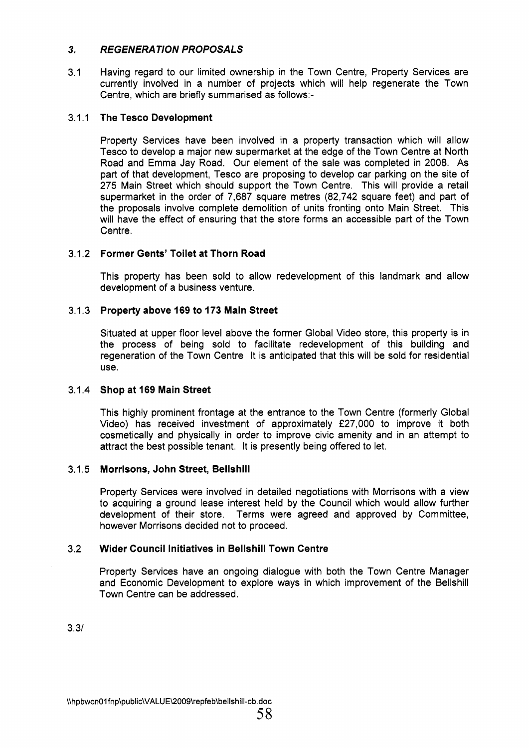# *3. REGENERATION PROPOSALS*

**3.1** Having regard to our limited ownership in the Town Centre, Property Services are currently involved in a number of projects which will help regenerate the Town Centre, which are briefly summarised as follows:-

# **3.1.1 The Tesco Development**

Property Services have been involved in a property transaction which will allow Tesco to develop a major new supermarket at the edge of the Town Centre at North Road and Emma Jay Road. Our element of the sale was completed in **2008. As**  part of that development, Tesco are proposing to develop car parking on the site of **275** Main Street which should support the Town Centre. This will provide a retail supermarket in the order of **7,687** square metres **(82,742** square feet) and part of the proposals involve complete demolition of units fronting onto Main Street. This will have the effect of ensuring that the store forms an accessible part of the Town Centre.

# **3.1.2 Former Gents' Toilet at Thorn Road**

This property has been sold to allow redevelopment of this landmark and allow development of a business venture.

# **3.1.3 Property above 169 to 173 Main Street**

Situated at upper floor level above the former Global Video store, this property is in the process of being sold to facilitate redevelopment of this building and regeneration of the Town Centre It is anticipated that this will be sold for residential use.

# **3.1.4 Shop at 169 Main Street**

This highly prominent frontage at the entrance to the Town Centre (formerly Global Video) has received investment of approximately **f27,000** to improve it both cosmetically and physically in order to improve civic amenity and in an attempt to attract the best possible tenant. It is presently being offered to let.

# **3.1.5 Morrisons, John Street, Bellshill**

Property Services were involved in detailed negotiations with Morrisons with a view to acquiring a ground lease interest held by the Council which would allow further development of their store. Terms were agreed and approved by Committee, however Morrisons decided not to proceed.

# **3.2 Wider Council Initiatives in Bellshill Town Centre**

Property Services have an ongoing dialogue with both the Town Centre Manager and Economic Development to explore ways in which improvement of the Bellshill Town Centre can be addressed.

**3.31**